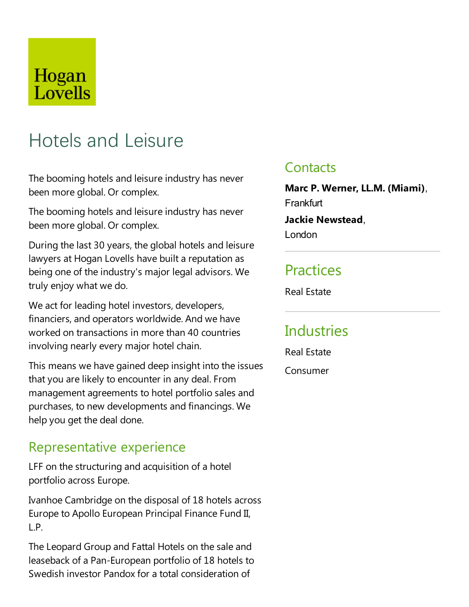## Hogan Lovells

# Hotels and Leisure

The booming hotels and leisure industry has never been more global. Or complex.

The booming hotels and leisure industry has never been more global. Or complex.

During the last 30 years, the global hotels and leisure lawyers at Hogan Lovells have built a reputation as being one of the industry's major legal advisors. We truly enjoy what we do.

We act for leading hotel investors, developers, financiers, and operators worldwide. And we have worked on transactions in more than 40 countries involving nearly every major hotel chain.

This means we have gained deep insight into the issues that you are likely to encounter in any deal. From management agreements to hotel portfolio sales and purchases, to new developments and financings. We help you get the deal done.

### Representative experience

LFF on the structuring and acquisition of a hotel portfolio across Europe.

Ivanhoe Cambridge on the disposal of 18 hotels across Europe to Apollo European Principal Finance Fund II, L.P.

The Leopard Group and Fattal Hotels on the sale and leaseback of a Pan-European portfolio of 18 hotels to Swedish investor Pandox for a total consideration of

### **Contacts**

**Marc P. Werner,LL.M. (Miami)**, **Frankfurt** 

**Jackie Newstead**, London

### **Practices**

Real Estate

### **Industries**

Real Estate

Consumer